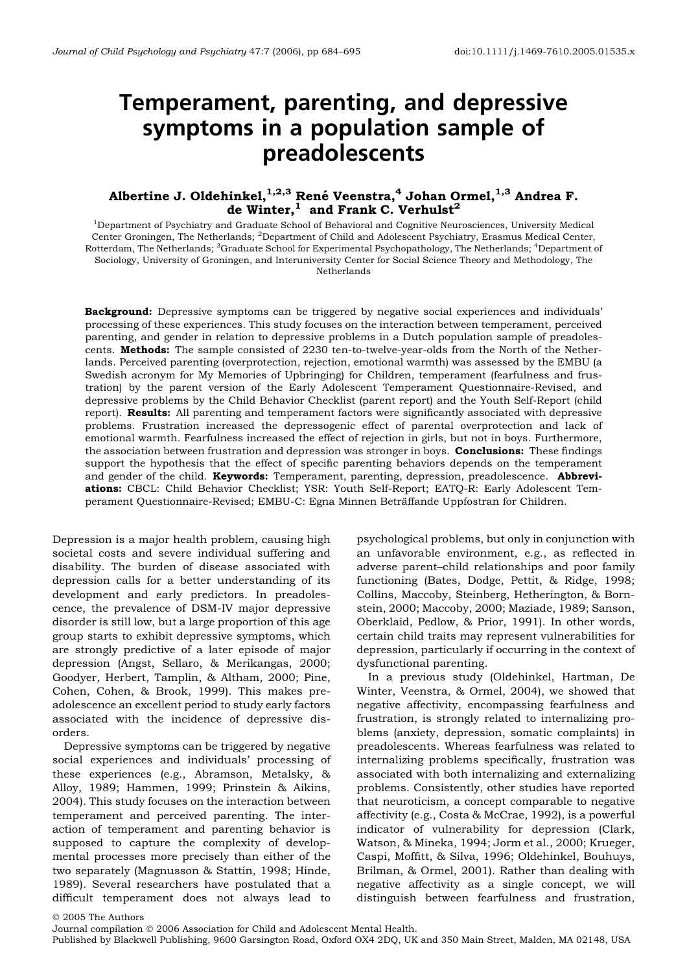# Temperament, parenting, and depressive symptoms in a population sample of preadolescents

# Albertine J. Oldehinkel, $^{1,2,3}$  René Veenstra, $^4$  Johan Ormel, $^{1,3}$  Andrea F. de Winter, $^1\,$  and Frank C. Verhulst $^2\,$

<sup>1</sup>Department of Psychiatry and Graduate School of Behavioral and Cognitive Neurosciences, University Medical Center Groningen, The Netherlands; <sup>2</sup> Department of Child and Adolescent Psychiatry, Erasmus Medical Center, Rotterdam, The Netherlands; <sup>3</sup>Graduate School for Experimental Psychopathology, The Netherlands; <sup>4</sup>Department of Sociology, University of Groningen, and Interuniversity Center for Social Science Theory and Methodology, The Netherlands

**Background:** Depressive symptoms can be triggered by negative social experiences and individuals' processing of these experiences. This study focuses on the interaction between temperament, perceived parenting, and gender in relation to depressive problems in a Dutch population sample of preadolescents. Methods: The sample consisted of 2230 ten-to-twelve-year-olds from the North of the Netherlands. Perceived parenting (overprotection, rejection, emotional warmth) was assessed by the EMBU (a Swedish acronym for My Memories of Upbringing) for Children, temperament (fearfulness and frustration) by the parent version of the Early Adolescent Temperament Questionnaire-Revised, and depressive problems by the Child Behavior Checklist (parent report) and the Youth Self-Report (child report). Results: All parenting and temperament factors were significantly associated with depressive problems. Frustration increased the depressogenic effect of parental overprotection and lack of emotional warmth. Fearfulness increased the effect of rejection in girls, but not in boys. Furthermore, the association between frustration and depression was stronger in boys. **Conclusions:** These findings support the hypothesis that the effect of specific parenting behaviors depends on the temperament and gender of the child. Keywords: Temperament, parenting, depression, preadolescence. Abbreviations: CBCL: Child Behavior Checklist; YSR: Youth Self-Report; EATQ-R: Early Adolescent Temperament Questionnaire-Revised; EMBU-C: Egna Minnen Beträffande Uppfostran for Children.

Depression is a major health problem, causing high societal costs and severe individual suffering and disability. The burden of disease associated with depression calls for a better understanding of its development and early predictors. In preadolescence, the prevalence of DSM-IV major depressive disorder is still low, but a large proportion of this age group starts to exhibit depressive symptoms, which are strongly predictive of a later episode of major depression (Angst, Sellaro, & Merikangas, 2000; Goodyer, Herbert, Tamplin, & Altham, 2000; Pine, Cohen, Cohen, & Brook, 1999). This makes preadolescence an excellent period to study early factors associated with the incidence of depressive disorders.

Depressive symptoms can be triggered by negative social experiences and individuals' processing of these experiences (e.g., Abramson, Metalsky, & Alloy, 1989; Hammen, 1999; Prinstein & Aikins, 2004). This study focuses on the interaction between temperament and perceived parenting. The interaction of temperament and parenting behavior is supposed to capture the complexity of developmental processes more precisely than either of the two separately (Magnusson & Stattin, 1998; Hinde, 1989). Several researchers have postulated that a difficult temperament does not always lead to

psychological problems, but only in conjunction with an unfavorable environment, e.g., as reflected in adverse parent–child relationships and poor family functioning (Bates, Dodge, Pettit, & Ridge, 1998; Collins, Maccoby, Steinberg, Hetherington, & Bornstein, 2000; Maccoby, 2000; Maziade, 1989; Sanson, Oberklaid, Pedlow, & Prior, 1991). In other words, certain child traits may represent vulnerabilities for depression, particularly if occurring in the context of dysfunctional parenting.

In a previous study (Oldehinkel, Hartman, De Winter, Veenstra, & Ormel, 2004), we showed that negative affectivity, encompassing fearfulness and frustration, is strongly related to internalizing problems (anxiety, depression, somatic complaints) in preadolescents. Whereas fearfulness was related to internalizing problems specifically, frustration was associated with both internalizing and externalizing problems. Consistently, other studies have reported that neuroticism, a concept comparable to negative affectivity (e.g., Costa & McCrae, 1992), is a powerful indicator of vulnerability for depression (Clark, Watson, & Mineka, 1994; Jorm et al., 2000; Krueger, Caspi, Moffitt, & Silva, 1996; Oldehinkel, Bouhuys, Brilman, & Ormel, 2001). Rather than dealing with negative affectivity as a single concept, we will distinguish between fearfulness and frustration,

Journal compilation 2006 Association for Child and Adolescent Mental Health.

Published by Blackwell Publishing, 9600 Garsington Road, Oxford OX4 2DQ, UK and 350 Main Street, Malden, MA 02148, USA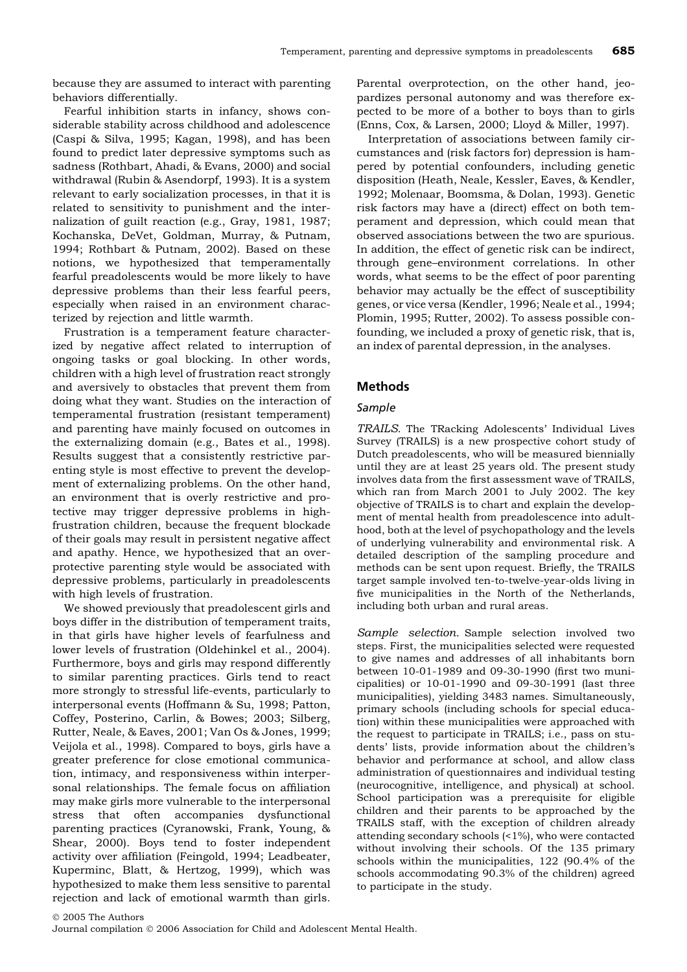because they are assumed to interact with parenting behaviors differentially.

Fearful inhibition starts in infancy, shows considerable stability across childhood and adolescence (Caspi & Silva, 1995; Kagan, 1998), and has been found to predict later depressive symptoms such as sadness (Rothbart, Ahadi, & Evans, 2000) and social withdrawal (Rubin & Asendorpf, 1993). It is a system relevant to early socialization processes, in that it is related to sensitivity to punishment and the internalization of guilt reaction (e.g., Gray, 1981, 1987; Kochanska, DeVet, Goldman, Murray, & Putnam, 1994; Rothbart & Putnam, 2002). Based on these notions, we hypothesized that temperamentally fearful preadolescents would be more likely to have depressive problems than their less fearful peers, especially when raised in an environment characterized by rejection and little warmth.

Frustration is a temperament feature characterized by negative affect related to interruption of ongoing tasks or goal blocking. In other words, children with a high level of frustration react strongly and aversively to obstacles that prevent them from doing what they want. Studies on the interaction of temperamental frustration (resistant temperament) and parenting have mainly focused on outcomes in the externalizing domain (e.g., Bates et al., 1998). Results suggest that a consistently restrictive parenting style is most effective to prevent the development of externalizing problems. On the other hand, an environment that is overly restrictive and protective may trigger depressive problems in highfrustration children, because the frequent blockade of their goals may result in persistent negative affect and apathy. Hence, we hypothesized that an overprotective parenting style would be associated with depressive problems, particularly in preadolescents with high levels of frustration.

We showed previously that preadolescent girls and boys differ in the distribution of temperament traits, in that girls have higher levels of fearfulness and lower levels of frustration (Oldehinkel et al., 2004). Furthermore, boys and girls may respond differently to similar parenting practices. Girls tend to react more strongly to stressful life-events, particularly to interpersonal events (Hoffmann & Su, 1998; Patton, Coffey, Posterino, Carlin, & Bowes; 2003; Silberg, Rutter, Neale, & Eaves, 2001; Van Os & Jones, 1999; Veijola et al., 1998). Compared to boys, girls have a greater preference for close emotional communication, intimacy, and responsiveness within interpersonal relationships. The female focus on affiliation may make girls more vulnerable to the interpersonal stress that often accompanies dysfunctional parenting practices (Cyranowski, Frank, Young, & Shear, 2000). Boys tend to foster independent activity over affiliation (Feingold, 1994; Leadbeater, Kuperminc, Blatt, & Hertzog, 1999), which was hypothesized to make them less sensitive to parental rejection and lack of emotional warmth than girls.

Parental overprotection, on the other hand, jeopardizes personal autonomy and was therefore expected to be more of a bother to boys than to girls (Enns, Cox, & Larsen, 2000; Lloyd & Miller, 1997).

Interpretation of associations between family circumstances and (risk factors for) depression is hampered by potential confounders, including genetic disposition (Heath, Neale, Kessler, Eaves, & Kendler, 1992; Molenaar, Boomsma, & Dolan, 1993). Genetic risk factors may have a (direct) effect on both temperament and depression, which could mean that observed associations between the two are spurious. In addition, the effect of genetic risk can be indirect, through gene–environment correlations. In other words, what seems to be the effect of poor parenting behavior may actually be the effect of susceptibility genes, or vice versa (Kendler, 1996; Neale et al., 1994; Plomin, 1995; Rutter, 2002). To assess possible confounding, we included a proxy of genetic risk, that is, an index of parental depression, in the analyses.

## Methods

#### Sample

TRAILS. The TRacking Adolescents' Individual Lives Survey (TRAILS) is a new prospective cohort study of Dutch preadolescents, who will be measured biennially until they are at least 25 years old. The present study involves data from the first assessment wave of TRAILS, which ran from March 2001 to July 2002. The key objective of TRAILS is to chart and explain the development of mental health from preadolescence into adulthood, both at the level of psychopathology and the levels of underlying vulnerability and environmental risk. A detailed description of the sampling procedure and methods can be sent upon request. Briefly, the TRAILS target sample involved ten-to-twelve-year-olds living in five municipalities in the North of the Netherlands, including both urban and rural areas.

Sample selection. Sample selection involved two steps. First, the municipalities selected were requested to give names and addresses of all inhabitants born between 10-01-1989 and 09-30-1990 (first two municipalities) or 10-01-1990 and 09-30-1991 (last three municipalities), yielding 3483 names. Simultaneously, primary schools (including schools for special education) within these municipalities were approached with the request to participate in TRAILS; i.e., pass on students' lists, provide information about the children's behavior and performance at school, and allow class administration of questionnaires and individual testing (neurocognitive, intelligence, and physical) at school. School participation was a prerequisite for eligible children and their parents to be approached by the TRAILS staff, with the exception of children already attending secondary schools (<1%), who were contacted without involving their schools. Of the 135 primary schools within the municipalities, 122 (90.4% of the schools accommodating 90.3% of the children) agreed to participate in the study.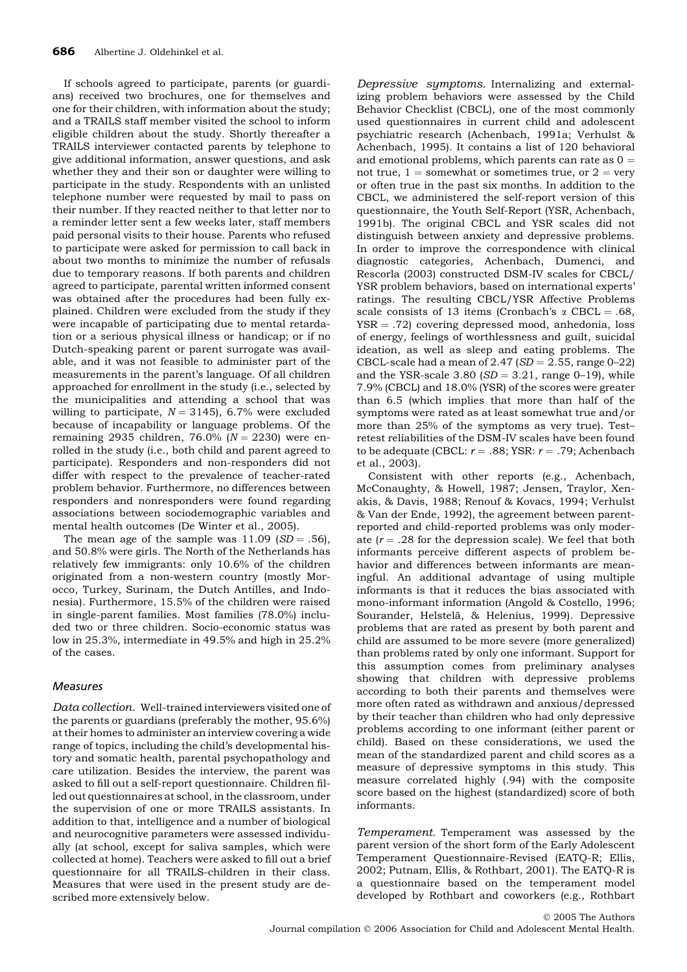If schools agreed to participate, parents (or guardians) received two brochures, one for themselves and one for their children, with information about the study; and a TRAILS staff member visited the school to inform eligible children about the study. Shortly thereafter a TRAILS interviewer contacted parents by telephone to give additional information, answer questions, and ask whether they and their son or daughter were willing to participate in the study. Respondents with an unlisted telephone number were requested by mail to pass on their number. If they reacted neither to that letter nor to a reminder letter sent a few weeks later, staff members paid personal visits to their house. Parents who refused to participate were asked for permission to call back in about two months to minimize the number of refusals due to temporary reasons. If both parents and children agreed to participate, parental written informed consent was obtained after the procedures had been fully explained. Children were excluded from the study if they were incapable of participating due to mental retardation or a serious physical illness or handicap; or if no Dutch-speaking parent or parent surrogate was available, and it was not feasible to administer part of the measurements in the parent's language. Of all children approached for enrollment in the study (i.e., selected by the municipalities and attending a school that was willing to participate,  $N = 3145$ , 6.7% were excluded because of incapability or language problems. Of the remaining 2935 children, 76.0% ( $N = 2230$ ) were enrolled in the study (i.e., both child and parent agreed to participate). Responders and non-responders did not differ with respect to the prevalence of teacher-rated problem behavior. Furthermore, no differences between responders and nonresponders were found regarding associations between sociodemographic variables and mental health outcomes (De Winter et al., 2005).

The mean age of the sample was  $11.09$  (SD = .56), and 50.8% were girls. The North of the Netherlands has relatively few immigrants: only 10.6% of the children originated from a non-western country (mostly Morocco, Turkey, Surinam, the Dutch Antilles, and Indonesia). Furthermore, 15.5% of the children were raised in single-parent families. Most families (78.0%) included two or three children. Socio-economic status was low in 25.3%, intermediate in 49.5% and high in 25.2% of the cases.

## Measures

Data collection. Well-trained interviewers visited one of the parents or guardians (preferably the mother, 95.6%) at their homes to administer an interview covering a wide range of topics, including the child's developmental history and somatic health, parental psychopathology and care utilization. Besides the interview, the parent was asked to fill out a self-report questionnaire. Children filled out questionnaires at school, in the classroom, under the supervision of one or more TRAILS assistants. In addition to that, intelligence and a number of biological and neurocognitive parameters were assessed individually (at school, except for saliva samples, which were collected at home). Teachers were asked to fill out a brief questionnaire for all TRAILS-children in their class. Measures that were used in the present study are described more extensively below.

Depressive symptoms. Internalizing and externalizing problem behaviors were assessed by the Child Behavior Checklist (CBCL), one of the most commonly used questionnaires in current child and adolescent psychiatric research (Achenbach, 1991a; Verhulst & Achenbach, 1995). It contains a list of 120 behavioral and emotional problems, which parents can rate as  $0 =$ not true,  $1 =$  somewhat or sometimes true, or  $2 =$  very or often true in the past six months. In addition to the CBCL, we administered the self-report version of this questionnaire, the Youth Self-Report (YSR, Achenbach, 1991b). The original CBCL and YSR scales did not distinguish between anxiety and depressive problems. In order to improve the correspondence with clinical diagnostic categories, Achenbach, Dumenci, and Rescorla (2003) constructed DSM-IV scales for CBCL/ YSR problem behaviors, based on international experts' ratings. The resulting CBCL/YSR Affective Problems scale consists of 13 items (Cronbach's  $\alpha$  CBCL = .68,  $YSR = .72$ ) covering depressed mood, anhedonia, loss of energy, feelings of worthlessness and guilt, suicidal ideation, as well as sleep and eating problems. The CBCL-scale had a mean of  $2.47$  (SD =  $2.55$ , range 0–22) and the YSR-scale 3.80 ( $SD = 3.21$ , range 0–19), while 7.9% (CBCL) and 18.0% (YSR) of the scores were greater than 6.5 (which implies that more than half of the symptoms were rated as at least somewhat true and/or more than 25% of the symptoms as very true). Test– retest reliabilities of the DSM-IV scales have been found to be adequate (CBCL:  $r = .88$ ; YSR:  $r = .79$ ; Achenbach et al., 2003).

Consistent with other reports (e.g., Achenbach, McConaughty, & Howell, 1987; Jensen, Traylor, Xenakis, & Davis, 1988; Renouf & Kovacs, 1994; Verhulst & Van der Ende, 1992), the agreement between parentreported and child-reported problems was only moderate ( $r = .28$  for the depression scale). We feel that both informants perceive different aspects of problem behavior and differences between informants are meaningful. An additional advantage of using multiple informants is that it reduces the bias associated with mono-informant information (Angold & Costello, 1996; Sourander, Helstelä, & Helenius, 1999). Depressive problems that are rated as present by both parent and child are assumed to be more severe (more generalized) than problems rated by only one informant. Support for this assumption comes from preliminary analyses showing that children with depressive problems according to both their parents and themselves were more often rated as withdrawn and anxious/depressed by their teacher than children who had only depressive problems according to one informant (either parent or child). Based on these considerations, we used the mean of the standardized parent and child scores as a measure of depressive symptoms in this study. This measure correlated highly (.94) with the composite score based on the highest (standardized) score of both informants.

Temperament. Temperament was assessed by the parent version of the short form of the Early Adolescent Temperament Questionnaire-Revised (EATQ-R; Ellis, 2002; Putnam, Ellis, & Rothbart, 2001). The EATQ-R is a questionnaire based on the temperament model developed by Rothbart and coworkers (e.g., Rothbart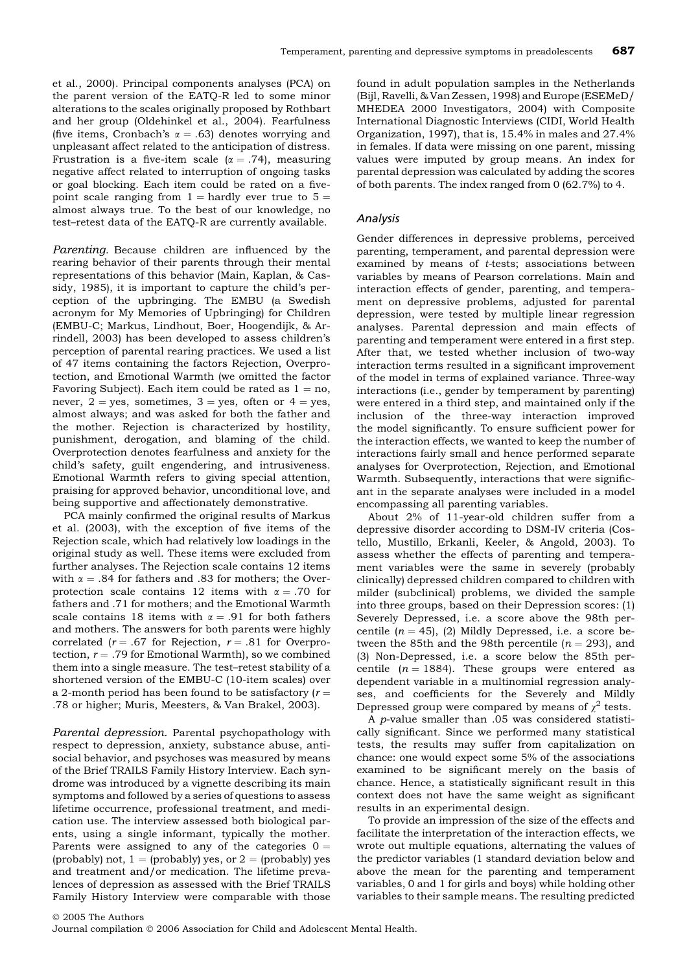et al., 2000). Principal components analyses (PCA) on the parent version of the EATQ-R led to some minor alterations to the scales originally proposed by Rothbart and her group (Oldehinkel et al., 2004). Fearfulness (five items, Cronbach's  $\alpha = .63$ ) denotes worrying and unpleasant affect related to the anticipation of distress. Frustration is a five-item scale ( $\alpha = .74$ ), measuring negative affect related to interruption of ongoing tasks or goal blocking. Each item could be rated on a fivepoint scale ranging from  $1 =$  hardly ever true to  $5 =$ almost always true. To the best of our knowledge, no test–retest data of the EATQ-R are currently available.

Parenting. Because children are influenced by the rearing behavior of their parents through their mental representations of this behavior (Main, Kaplan, & Cassidy, 1985), it is important to capture the child's perception of the upbringing. The EMBU (a Swedish acronym for My Memories of Upbringing) for Children (EMBU-C; Markus, Lindhout, Boer, Hoogendijk, & Arrindell, 2003) has been developed to assess children's perception of parental rearing practices. We used a list of 47 items containing the factors Rejection, Overprotection, and Emotional Warmth (we omitted the factor Favoring Subject). Each item could be rated as  $1 = no$ , never,  $2 = yes$ , sometimes,  $3 = yes$ , often or  $4 = yes$ , almost always; and was asked for both the father and the mother. Rejection is characterized by hostility, punishment, derogation, and blaming of the child. Overprotection denotes fearfulness and anxiety for the child's safety, guilt engendering, and intrusiveness. Emotional Warmth refers to giving special attention, praising for approved behavior, unconditional love, and being supportive and affectionately demonstrative.

PCA mainly confirmed the original results of Markus et al. (2003), with the exception of five items of the Rejection scale, which had relatively low loadings in the original study as well. These items were excluded from further analyses. The Rejection scale contains 12 items with  $\alpha = .84$  for fathers and .83 for mothers; the Overprotection scale contains 12 items with  $\alpha = .70$  for fathers and .71 for mothers; and the Emotional Warmth scale contains 18 items with  $\alpha = .91$  for both fathers and mothers. The answers for both parents were highly correlated ( $r = .67$  for Rejection,  $r = .81$  for Overprotection,  $r = .79$  for Emotional Warmth), so we combined them into a single measure. The test–retest stability of a shortened version of the EMBU-C (10-item scales) over a 2-month period has been found to be satisfactory ( $r =$ .78 or higher; Muris, Meesters, & Van Brakel, 2003).

Parental depression. Parental psychopathology with respect to depression, anxiety, substance abuse, antisocial behavior, and psychoses was measured by means of the Brief TRAILS Family History Interview. Each syndrome was introduced by a vignette describing its main symptoms and followed by a series of questions to assess lifetime occurrence, professional treatment, and medication use. The interview assessed both biological parents, using a single informant, typically the mother. Parents were assigned to any of the categories  $0 =$ (probably) not,  $1 =$  (probably) yes, or  $2 =$  (probably) yes and treatment and/or medication. The lifetime prevalences of depression as assessed with the Brief TRAILS Family History Interview were comparable with those

found in adult population samples in the Netherlands (Bijl, Ravelli, & Van Zessen, 1998) and Europe (ESEMeD/ MHEDEA 2000 Investigators, 2004) with Composite International Diagnostic Interviews (CIDI, World Health Organization, 1997), that is, 15.4% in males and 27.4% in females. If data were missing on one parent, missing values were imputed by group means. An index for parental depression was calculated by adding the scores of both parents. The index ranged from 0 (62.7%) to 4.

#### Analysis

Gender differences in depressive problems, perceived parenting, temperament, and parental depression were examined by means of t-tests; associations between variables by means of Pearson correlations. Main and interaction effects of gender, parenting, and temperament on depressive problems, adjusted for parental depression, were tested by multiple linear regression analyses. Parental depression and main effects of parenting and temperament were entered in a first step. After that, we tested whether inclusion of two-way interaction terms resulted in a significant improvement of the model in terms of explained variance. Three-way interactions (i.e., gender by temperament by parenting) were entered in a third step, and maintained only if the inclusion of the three-way interaction improved the model significantly. To ensure sufficient power for the interaction effects, we wanted to keep the number of interactions fairly small and hence performed separate analyses for Overprotection, Rejection, and Emotional Warmth. Subsequently, interactions that were significant in the separate analyses were included in a model encompassing all parenting variables.

About 2% of 11-year-old children suffer from a depressive disorder according to DSM-IV criteria (Costello, Mustillo, Erkanli, Keeler, & Angold, 2003). To assess whether the effects of parenting and temperament variables were the same in severely (probably clinically) depressed children compared to children with milder (subclinical) problems, we divided the sample into three groups, based on their Depression scores: (1) Severely Depressed, i.e. a score above the 98th percentile ( $n = 45$ ), (2) Mildly Depressed, i.e. a score between the 85th and the 98th percentile  $(n = 293)$ , and (3) Non-Depressed, i.e. a score below the 85th percentile  $(n = 1884)$ . These groups were entered as dependent variable in a multinomial regression analyses, and coefficients for the Severely and Mildly Depressed group were compared by means of  $\chi^2$  tests.

A p-value smaller than .05 was considered statistically significant. Since we performed many statistical tests, the results may suffer from capitalization on chance: one would expect some 5% of the associations examined to be significant merely on the basis of chance. Hence, a statistically significant result in this context does not have the same weight as significant results in an experimental design.

To provide an impression of the size of the effects and facilitate the interpretation of the interaction effects, we wrote out multiple equations, alternating the values of the predictor variables (1 standard deviation below and above the mean for the parenting and temperament variables, 0 and 1 for girls and boys) while holding other variables to their sample means. The resulting predicted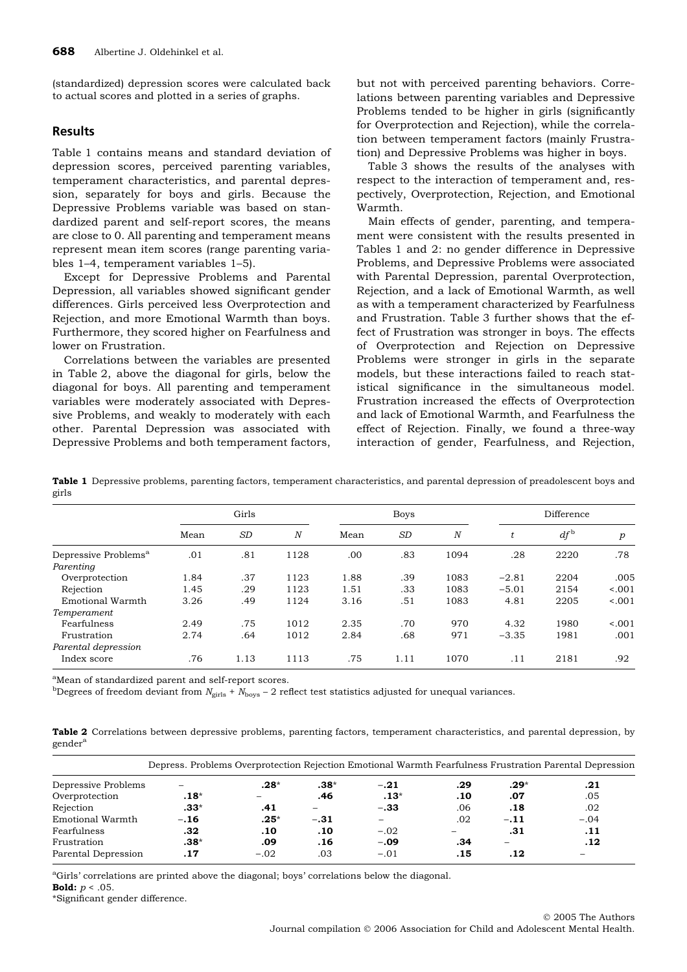(standardized) depression scores were calculated back to actual scores and plotted in a series of graphs.

## Results

Table 1 contains means and standard deviation of depression scores, perceived parenting variables, temperament characteristics, and parental depression, separately for boys and girls. Because the Depressive Problems variable was based on standardized parent and self-report scores, the means are close to 0. All parenting and temperament means represent mean item scores (range parenting variables 1–4, temperament variables 1–5).

Except for Depressive Problems and Parental Depression, all variables showed significant gender differences. Girls perceived less Overprotection and Rejection, and more Emotional Warmth than boys. Furthermore, they scored higher on Fearfulness and lower on Frustration.

Correlations between the variables are presented in Table 2, above the diagonal for girls, below the diagonal for boys. All parenting and temperament variables were moderately associated with Depressive Problems, and weakly to moderately with each other. Parental Depression was associated with Depressive Problems and both temperament factors, but not with perceived parenting behaviors. Correlations between parenting variables and Depressive Problems tended to be higher in girls (significantly for Overprotection and Rejection), while the correlation between temperament factors (mainly Frustration) and Depressive Problems was higher in boys.

Table 3 shows the results of the analyses with respect to the interaction of temperament and, respectively, Overprotection, Rejection, and Emotional Warmth.

Main effects of gender, parenting, and temperament were consistent with the results presented in Tables 1 and 2: no gender difference in Depressive Problems, and Depressive Problems were associated with Parental Depression, parental Overprotection, Rejection, and a lack of Emotional Warmth, as well as with a temperament characterized by Fearfulness and Frustration. Table 3 further shows that the effect of Frustration was stronger in boys. The effects of Overprotection and Rejection on Depressive Problems were stronger in girls in the separate models, but these interactions failed to reach statistical significance in the simultaneous model. Frustration increased the effects of Overprotection and lack of Emotional Warmth, and Fearfulness the effect of Rejection. Finally, we found a three-way interaction of gender, Fearfulness, and Rejection,

Table 1 Depressive problems, parenting factors, temperament characteristics, and parental depression of preadolescent boys and girls

|                                  | Girls |           |                  | <b>Boys</b> |           |                  | Difference |              |                  |
|----------------------------------|-------|-----------|------------------|-------------|-----------|------------------|------------|--------------|------------------|
|                                  | Mean  | <b>SD</b> | $\boldsymbol{N}$ | Mean        | <b>SD</b> | $\boldsymbol{N}$ | t          | $df^{\rm b}$ | $\boldsymbol{p}$ |
| Depressive Problems <sup>a</sup> | .01   | .81       | 1128             | .00         | .83       | 1094             | .28        | 2220         | .78              |
| Parenting                        |       |           |                  |             |           |                  |            |              |                  |
| Overprotection                   | 1.84  | .37       | 1123             | 1.88        | .39       | 1083             | $-2.81$    | 2204         | .005             |
| Rejection                        | 1.45  | .29       | 1123             | 1.51        | .33       | 1083             | $-5.01$    | 2154         | < .001           |
| Emotional Warmth                 | 3.26  | .49       | 1124             | 3.16        | .51       | 1083             | 4.81       | 2205         | < .001           |
| Temperament                      |       |           |                  |             |           |                  |            |              |                  |
| Fearfulness                      | 2.49  | .75       | 1012             | 2.35        | .70       | 970              | 4.32       | 1980         | < .001           |
| Frustration                      | 2.74  | .64       | 1012             | 2.84        | .68       | 971              | $-3.35$    | 1981         | .001             |
| Parental depression              |       |           |                  |             |           |                  |            |              |                  |
| Index score                      | .76   | 1.13      | 1113             | .75         | 1.11      | 1070             | .11        | 2181         | .92              |

<sup>a</sup>Mean of standardized parent and self-report scores.

 $^{\rm b}$ Degrees of freedom deviant from  $N_{\rm girls}$  +  $N_{\rm boys}$  – 2 reflect test statistics adjusted for unequal variances.

Table 2 Correlations between depressive problems, parenting factors, temperament characteristics, and parental depression, by gender<sup>a</sup>

|                     |                   |         |        |                          |                   |                          | Depress. Problems Overprotection Rejection Emotional Warmth Fearfulness Frustration Parental Depression |
|---------------------|-------------------|---------|--------|--------------------------|-------------------|--------------------------|---------------------------------------------------------------------------------------------------------|
| Depressive Problems | $\qquad \qquad -$ | $.28*$  | $.38*$ | $-.21$                   | .29               | .29*                     | .21                                                                                                     |
| Overprotection      | $.18*$            |         | .46    | $.13*$                   | .10               | .07                      | .05                                                                                                     |
| Rejection           | $.33*$            | .41     |        | $-.33$                   | .06               | .18                      | .02                                                                                                     |
| Emotional Warmth    | $-.16$            | $.25^*$ | $-.31$ | $\overline{\phantom{0}}$ | .02               | $-.11$                   | $-.04$                                                                                                  |
| Fearfulness         | .32               | .10     | .10    | $-.02$                   | $\qquad \qquad -$ | .31                      | .11                                                                                                     |
| Frustration         | $.38*$            | .09     | .16    | $-.09$                   | .34               | $\overline{\phantom{m}}$ | .12                                                                                                     |
| Parental Depression | .17               | $-.02$  | .03    | $-.01$                   | .15               | .12                      |                                                                                                         |

<sup>a</sup>Girls' correlations are printed above the diagonal; boys' correlations below the diagonal.

**Bold:**  $p < .05$ .

\*Significant gender difference.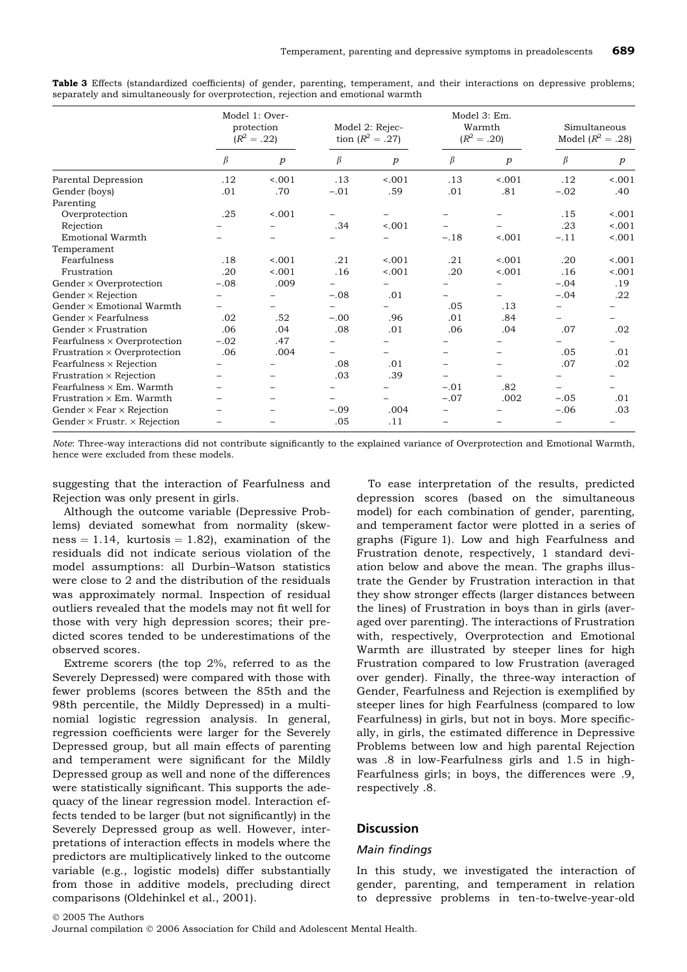|                                            | Model 1: Over-<br>protection<br>$(R^2=.22)$ |                  | Model 2: Rejec-<br>tion $(R^2 = .27)$ |                  | Model 3: Em.<br>Warmth<br>$(R^2=.20)$ |                  | Simultaneous<br>Model $(R^2 = .28)$ |                  |
|--------------------------------------------|---------------------------------------------|------------------|---------------------------------------|------------------|---------------------------------------|------------------|-------------------------------------|------------------|
|                                            | β                                           | $\boldsymbol{p}$ | β                                     | $\boldsymbol{p}$ | β                                     | $\boldsymbol{p}$ | β                                   | $\boldsymbol{p}$ |
| Parental Depression                        | .12                                         | < .001           | .13                                   | < .001           | .13                                   | < .001           | .12                                 | < .001           |
| Gender (boys)                              | .01                                         | .70              | $-.01$                                | .59              | .01                                   | .81              | $-.02$                              | .40              |
| Parenting                                  |                                             |                  |                                       |                  |                                       |                  |                                     |                  |
| Overprotection                             | .25                                         | < .001           |                                       |                  |                                       |                  | .15                                 | < .001           |
| Rejection                                  |                                             |                  | .34                                   | < .001           |                                       |                  | .23                                 | < .001           |
| Emotional Warmth                           |                                             |                  |                                       |                  | $-.18$                                | < .001           | $-.11$                              | < .001           |
| Temperament                                |                                             |                  |                                       |                  |                                       |                  |                                     |                  |
| Fearfulness                                | .18                                         | < .001           | .21                                   | < .001           | .21                                   | < .001           | .20                                 | $-.001$          |
| Frustration                                | .20                                         | < .001           | .16                                   | < .001           | .20                                   | < .001           | .16                                 | $-.001$          |
| Gender × Overprotection                    | $-.08$                                      | .009             |                                       |                  |                                       |                  | $-.04$                              | .19              |
| Gender $\times$ Rejection                  |                                             |                  | $-.08$                                | .01              |                                       |                  | $-.04$                              | .22              |
| Gender $\times$ Emotional Warmth           |                                             |                  |                                       |                  | .05                                   | .13              |                                     |                  |
| Gender $\times$ Fearfulness                | .02                                         | .52              | $-.00$                                | .96              | .01                                   | .84              |                                     |                  |
| $Gender \times Frustration$                | .06                                         | .04              | .08                                   | .01              | .06                                   | .04              | .07                                 | .02              |
| Fearfulness × Overprotection               | $-.02$                                      | .47              |                                       |                  |                                       |                  |                                     |                  |
| $Frustration \times Overprotein$           | .06                                         | .004             |                                       |                  |                                       |                  | .05                                 | .01              |
| $Fearfulness \times Rejection$             |                                             |                  | .08                                   | .01              |                                       |                  | .07                                 | .02              |
| Frustration × Rejection                    |                                             |                  | .03                                   | .39              |                                       |                  |                                     |                  |
| $Fearfulness \times Em. Warmth$            |                                             |                  |                                       |                  | $-.01$                                | .82              |                                     |                  |
| Frustration $\times$ Em. Warmth            |                                             |                  |                                       |                  | $-.07$                                | .002             | $-.05$                              | .01              |
| Gender $\times$ Fear $\times$ Rejection    |                                             |                  | $-.09$                                | .004             |                                       |                  | $-.06$                              | .03              |
| Gender $\times$ Frustr. $\times$ Rejection |                                             |                  | .05                                   | .11              |                                       |                  |                                     |                  |

Table 3 Effects (standardized coefficients) of gender, parenting, temperament, and their interactions on depressive problems; separately and simultaneously for overprotection, rejection and emotional warmth

Note: Three-way interactions did not contribute significantly to the explained variance of Overprotection and Emotional Warmth, hence were excluded from these models.

suggesting that the interaction of Fearfulness and Rejection was only present in girls.

Although the outcome variable (Depressive Problems) deviated somewhat from normality (skew $ness = 1.14$ , kurtosis  $= 1.82$ ), examination of the residuals did not indicate serious violation of the model assumptions: all Durbin–Watson statistics were close to 2 and the distribution of the residuals was approximately normal. Inspection of residual outliers revealed that the models may not fit well for those with very high depression scores; their predicted scores tended to be underestimations of the observed scores.

Extreme scorers (the top 2%, referred to as the Severely Depressed) were compared with those with fewer problems (scores between the 85th and the 98th percentile, the Mildly Depressed) in a multinomial logistic regression analysis. In general, regression coefficients were larger for the Severely Depressed group, but all main effects of parenting and temperament were significant for the Mildly Depressed group as well and none of the differences were statistically significant. This supports the adequacy of the linear regression model. Interaction effects tended to be larger (but not significantly) in the Severely Depressed group as well. However, interpretations of interaction effects in models where the predictors are multiplicatively linked to the outcome variable (e.g., logistic models) differ substantially from those in additive models, precluding direct comparisons (Oldehinkel et al., 2001).

To ease interpretation of the results, predicted depression scores (based on the simultaneous model) for each combination of gender, parenting, and temperament factor were plotted in a series of graphs (Figure 1). Low and high Fearfulness and Frustration denote, respectively, 1 standard deviation below and above the mean. The graphs illustrate the Gender by Frustration interaction in that they show stronger effects (larger distances between the lines) of Frustration in boys than in girls (averaged over parenting). The interactions of Frustration with, respectively, Overprotection and Emotional Warmth are illustrated by steeper lines for high Frustration compared to low Frustration (averaged over gender). Finally, the three-way interaction of Gender, Fearfulness and Rejection is exemplified by steeper lines for high Fearfulness (compared to low Fearfulness) in girls, but not in boys. More specifically, in girls, the estimated difference in Depressive Problems between low and high parental Rejection was .8 in low-Fearfulness girls and 1.5 in high-Fearfulness girls; in boys, the differences were .9, respectively .8.

## **Discussion**

#### Main findings

In this study, we investigated the interaction of gender, parenting, and temperament in relation to depressive problems in ten-to-twelve-year-old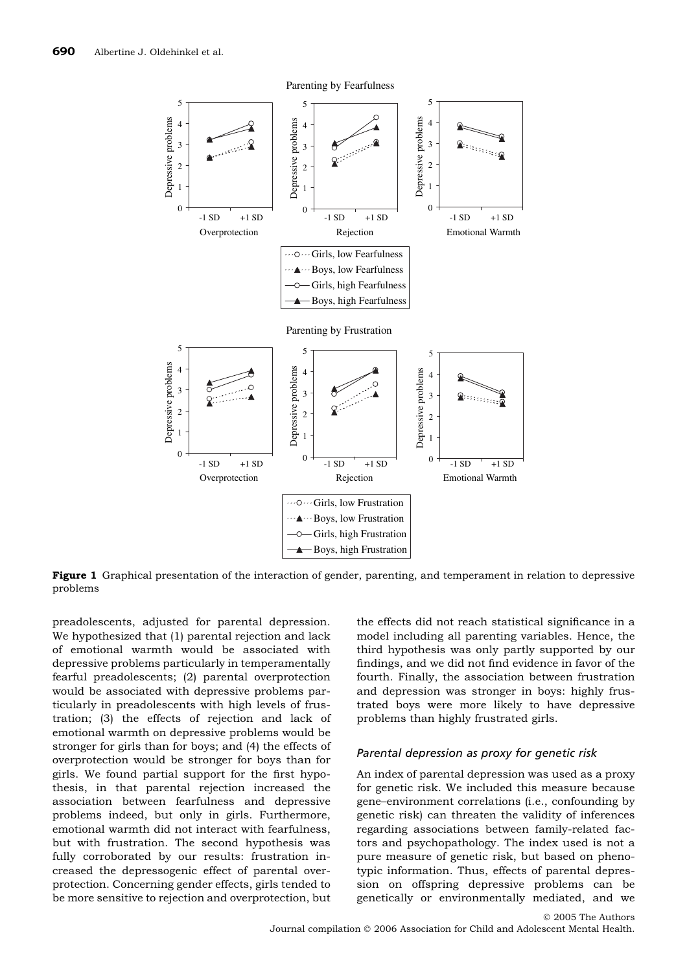

Figure 1 Graphical presentation of the interaction of gender, parenting, and temperament in relation to depressive problems

preadolescents, adjusted for parental depression. We hypothesized that (1) parental rejection and lack of emotional warmth would be associated with depressive problems particularly in temperamentally fearful preadolescents; (2) parental overprotection would be associated with depressive problems particularly in preadolescents with high levels of frustration; (3) the effects of rejection and lack of emotional warmth on depressive problems would be stronger for girls than for boys; and (4) the effects of overprotection would be stronger for boys than for girls. We found partial support for the first hypothesis, in that parental rejection increased the association between fearfulness and depressive problems indeed, but only in girls. Furthermore, emotional warmth did not interact with fearfulness, but with frustration. The second hypothesis was fully corroborated by our results: frustration increased the depressogenic effect of parental overprotection. Concerning gender effects, girls tended to be more sensitive to rejection and overprotection, but

the effects did not reach statistical significance in a model including all parenting variables. Hence, the third hypothesis was only partly supported by our findings, and we did not find evidence in favor of the fourth. Finally, the association between frustration and depression was stronger in boys: highly frustrated boys were more likely to have depressive problems than highly frustrated girls.

#### Parental depression as proxy for genetic risk

An index of parental depression was used as a proxy for genetic risk. We included this measure because gene–environment correlations (i.e., confounding by genetic risk) can threaten the validity of inferences regarding associations between family-related factors and psychopathology. The index used is not a pure measure of genetic risk, but based on phenotypic information. Thus, effects of parental depression on offspring depressive problems can be genetically or environmentally mediated, and we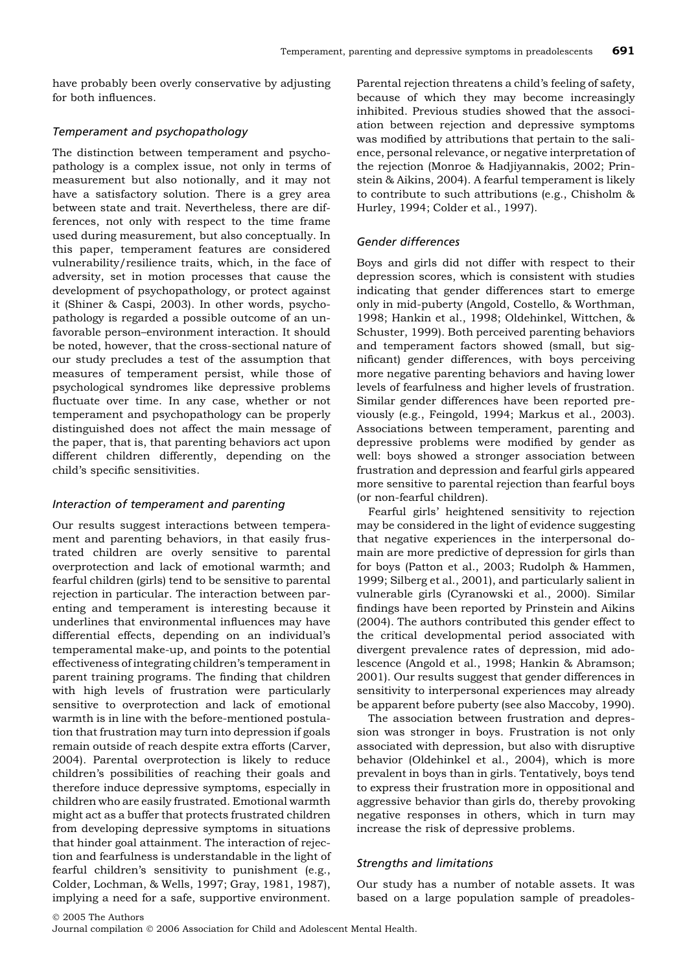have probably been overly conservative by adjusting for both influences.

## Temperament and psychopathology

The distinction between temperament and psychopathology is a complex issue, not only in terms of measurement but also notionally, and it may not have a satisfactory solution. There is a grey area between state and trait. Nevertheless, there are differences, not only with respect to the time frame used during measurement, but also conceptually. In this paper, temperament features are considered vulnerability/resilience traits, which, in the face of adversity, set in motion processes that cause the development of psychopathology, or protect against it (Shiner & Caspi, 2003). In other words, psychopathology is regarded a possible outcome of an unfavorable person–environment interaction. It should be noted, however, that the cross-sectional nature of our study precludes a test of the assumption that measures of temperament persist, while those of psychological syndromes like depressive problems fluctuate over time. In any case, whether or not temperament and psychopathology can be properly distinguished does not affect the main message of the paper, that is, that parenting behaviors act upon different children differently, depending on the child's specific sensitivities.

## Interaction of temperament and parenting

Our results suggest interactions between temperament and parenting behaviors, in that easily frustrated children are overly sensitive to parental overprotection and lack of emotional warmth; and fearful children (girls) tend to be sensitive to parental rejection in particular. The interaction between parenting and temperament is interesting because it underlines that environmental influences may have differential effects, depending on an individual's temperamental make-up, and points to the potential effectiveness of integrating children's temperament in parent training programs. The finding that children with high levels of frustration were particularly sensitive to overprotection and lack of emotional warmth is in line with the before-mentioned postulation that frustration may turn into depression if goals remain outside of reach despite extra efforts (Carver, 2004). Parental overprotection is likely to reduce children's possibilities of reaching their goals and therefore induce depressive symptoms, especially in children who are easily frustrated. Emotional warmth might act as a buffer that protects frustrated children from developing depressive symptoms in situations that hinder goal attainment. The interaction of rejection and fearfulness is understandable in the light of fearful children's sensitivity to punishment (e.g., Colder, Lochman, & Wells, 1997; Gray, 1981, 1987), implying a need for a safe, supportive environment.

Parental rejection threatens a child's feeling of safety, because of which they may become increasingly inhibited. Previous studies showed that the association between rejection and depressive symptoms was modified by attributions that pertain to the salience, personal relevance, or negative interpretation of the rejection (Monroe & Hadjiyannakis, 2002; Prinstein & Aikins, 2004). A fearful temperament is likely to contribute to such attributions (e.g., Chisholm & Hurley, 1994; Colder et al., 1997).

#### Gender differences

Boys and girls did not differ with respect to their depression scores, which is consistent with studies indicating that gender differences start to emerge only in mid-puberty (Angold, Costello, & Worthman, 1998; Hankin et al., 1998; Oldehinkel, Wittchen, & Schuster, 1999). Both perceived parenting behaviors and temperament factors showed (small, but significant) gender differences, with boys perceiving more negative parenting behaviors and having lower levels of fearfulness and higher levels of frustration. Similar gender differences have been reported previously (e.g., Feingold, 1994; Markus et al., 2003). Associations between temperament, parenting and depressive problems were modified by gender as well: boys showed a stronger association between frustration and depression and fearful girls appeared more sensitive to parental rejection than fearful boys (or non-fearful children).

Fearful girls' heightened sensitivity to rejection may be considered in the light of evidence suggesting that negative experiences in the interpersonal domain are more predictive of depression for girls than for boys (Patton et al., 2003; Rudolph & Hammen, 1999; Silberg et al., 2001), and particularly salient in vulnerable girls (Cyranowski et al., 2000). Similar findings have been reported by Prinstein and Aikins (2004). The authors contributed this gender effect to the critical developmental period associated with divergent prevalence rates of depression, mid adolescence (Angold et al., 1998; Hankin & Abramson; 2001). Our results suggest that gender differences in sensitivity to interpersonal experiences may already be apparent before puberty (see also Maccoby, 1990).

The association between frustration and depression was stronger in boys. Frustration is not only associated with depression, but also with disruptive behavior (Oldehinkel et al., 2004), which is more prevalent in boys than in girls. Tentatively, boys tend to express their frustration more in oppositional and aggressive behavior than girls do, thereby provoking negative responses in others, which in turn may increase the risk of depressive problems.

#### Strengths and limitations

Our study has a number of notable assets. It was based on a large population sample of preadoles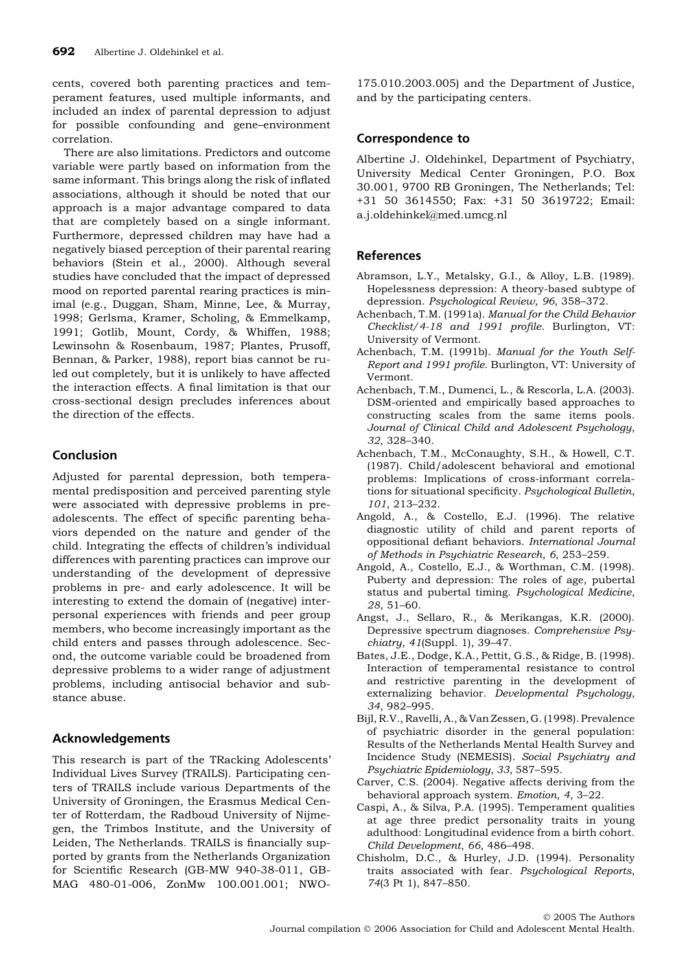cents, covered both parenting practices and temperament features, used multiple informants, and included an index of parental depression to adjust for possible confounding and gene–environment correlation.

There are also limitations. Predictors and outcome variable were partly based on information from the same informant. This brings along the risk of inflated associations, although it should be noted that our approach is a major advantage compared to data that are completely based on a single informant. Furthermore, depressed children may have had a negatively biased perception of their parental rearing behaviors (Stein et al., 2000). Although several studies have concluded that the impact of depressed mood on reported parental rearing practices is minimal (e.g., Duggan, Sham, Minne, Lee, & Murray, 1998; Gerlsma, Kramer, Scholing, & Emmelkamp, 1991; Gotlib, Mount, Cordy, & Whiffen, 1988; Lewinsohn & Rosenbaum, 1987; Plantes, Prusoff, Bennan, & Parker, 1988), report bias cannot be ruled out completely, but it is unlikely to have affected the interaction effects. A final limitation is that our cross-sectional design precludes inferences about the direction of the effects.

# Conclusion

Adjusted for parental depression, both temperamental predisposition and perceived parenting style were associated with depressive problems in preadolescents. The effect of specific parenting behaviors depended on the nature and gender of the child. Integrating the effects of children's individual differences with parenting practices can improve our understanding of the development of depressive problems in pre- and early adolescence. It will be interesting to extend the domain of (negative) interpersonal experiences with friends and peer group members, who become increasingly important as the child enters and passes through adolescence. Second, the outcome variable could be broadened from depressive problems to a wider range of adjustment problems, including antisocial behavior and substance abuse.

# Acknowledgements

This research is part of the TRacking Adolescents' Individual Lives Survey (TRAILS). Participating centers of TRAILS include various Departments of the University of Groningen, the Erasmus Medical Center of Rotterdam, the Radboud University of Nijmegen, the Trimbos Institute, and the University of Leiden, The Netherlands. TRAILS is financially supported by grants from the Netherlands Organization for Scientific Research (GB-MW 940-38-011, GB-MAG 480-01-006, ZonMw 100.001.001; NWO-

175.010.2003.005) and the Department of Justice, and by the participating centers.

# Correspondence to

Albertine J. Oldehinkel, Department of Psychiatry, University Medical Center Groningen, P.O. Box 30.001, 9700 RB Groningen, The Netherlands; Tel: +31 50 3614550; Fax: +31 50 3619722; Email: a.j.oldehinkel@med.umcg.nl

# References

- Abramson, L.Y., Metalsky, G.I., & Alloy, L.B. (1989). Hopelessness depression: A theory-based subtype of depression. Psychological Review, 96, 358–372.
- Achenbach, T.M. (1991a). Manual for the Child Behavior Checklist/4-18 and 1991 profile. Burlington, VT: University of Vermont.
- Achenbach, T.M. (1991b). Manual for the Youth Self-Report and 1991 profile. Burlington, VT: University of Vermont.
- Achenbach, T.M., Dumenci, L., & Rescorla, L.A. (2003). DSM-oriented and empirically based approaches to constructing scales from the same items pools. Journal of Clinical Child and Adolescent Psychology, 32, 328–340.
- Achenbach, T.M., McConaughty, S.H., & Howell, C.T. (1987). Child/adolescent behavioral and emotional problems: Implications of cross-informant correlations for situational specificity. Psychological Bulletin, 101, 213–232.
- Angold, A., & Costello, E.J. (1996). The relative diagnostic utility of child and parent reports of oppositional defiant behaviors. International Journal of Methods in Psychiatric Research, 6, 253–259.
- Angold, A., Costello, E.J., & Worthman, C.M. (1998). Puberty and depression: The roles of age, pubertal status and pubertal timing. Psychological Medicine, 28, 51–60.
- Angst, J., Sellaro, R., & Merikangas, K.R. (2000). Depressive spectrum diagnoses. Comprehensive Psychiatry, 41(Suppl. 1), 39–47.
- Bates, J.E., Dodge, K.A., Pettit, G.S., & Ridge, B. (1998). Interaction of temperamental resistance to control and restrictive parenting in the development of externalizing behavior. Developmental Psychology, 34, 982–995.
- Bijl, R.V., Ravelli, A., & Van Zessen, G. (1998). Prevalence of psychiatric disorder in the general population: Results of the Netherlands Mental Health Survey and Incidence Study (NEMESIS). Social Psychiatry and Psychiatric Epidemiology, 33, 587–595.
- Carver, C.S. (2004). Negative affects deriving from the behavioral approach system. Emotion, 4, 3–22.
- Caspi, A., & Silva, P.A. (1995). Temperament qualities at age three predict personality traits in young adulthood: Longitudinal evidence from a birth cohort. Child Development, 66, 486–498.
- Chisholm, D.C., & Hurley, J.D. (1994). Personality traits associated with fear. Psychological Reports, 74(3 Pt 1), 847–850.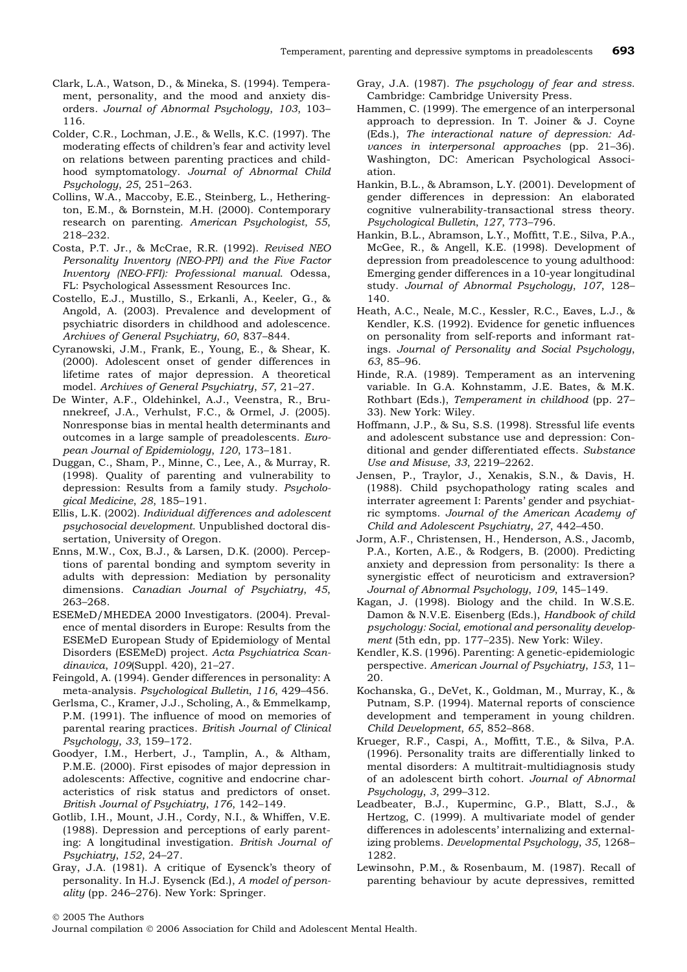- Clark, L.A., Watson, D., & Mineka, S. (1994). Temperament, personality, and the mood and anxiety disorders. Journal of Abnormal Psychology, 103, 103– 116.
- Colder, C.R., Lochman, J.E., & Wells, K.C. (1997). The moderating effects of children's fear and activity level on relations between parenting practices and childhood symptomatology. Journal of Abnormal Child Psychology, 25, 251–263.
- Collins, W.A., Maccoby, E.E., Steinberg, L., Hetherington, E.M., & Bornstein, M.H. (2000). Contemporary research on parenting. American Psychologist, 55, 218–232.
- Costa, P.T. Jr., & McCrae, R.R. (1992). Revised NEO Personality Inventory (NEO-PPI) and the Five Factor Inventory (NEO-FFI): Professional manual. Odessa, FL: Psychological Assessment Resources Inc.
- Costello, E.J., Mustillo, S., Erkanli, A., Keeler, G., & Angold, A. (2003). Prevalence and development of psychiatric disorders in childhood and adolescence. Archives of General Psychiatry, 60, 837–844.
- Cyranowski, J.M., Frank, E., Young, E., & Shear, K. (2000). Adolescent onset of gender differences in lifetime rates of major depression. A theoretical model. Archives of General Psychiatry, 57, 21–27.
- De Winter, A.F., Oldehinkel, A.J., Veenstra, R., Brunnekreef, J.A., Verhulst, F.C., & Ormel, J. (2005). Nonresponse bias in mental health determinants and outcomes in a large sample of preadolescents. European Journal of Epidemiology, 120, 173–181.
- Duggan, C., Sham, P., Minne, C., Lee, A., & Murray, R. (1998). Quality of parenting and vulnerability to depression: Results from a family study. Psychological Medicine, 28, 185–191.
- Ellis, L.K. (2002). Individual differences and adolescent psychosocial development. Unpublished doctoral dissertation, University of Oregon.
- Enns, M.W., Cox, B.J., & Larsen, D.K. (2000). Perceptions of parental bonding and symptom severity in adults with depression: Mediation by personality dimensions. Canadian Journal of Psychiatry, 45, 263–268.
- ESEMeD/MHEDEA 2000 Investigators. (2004). Prevalence of mental disorders in Europe: Results from the ESEMeD European Study of Epidemiology of Mental Disorders (ESEMeD) project. Acta Psychiatrica Scandinavica, 109(Suppl. 420), 21–27.
- Feingold, A. (1994). Gender differences in personality: A meta-analysis. Psychological Bulletin, 116, 429–456.
- Gerlsma, C., Kramer, J.J., Scholing, A., & Emmelkamp, P.M. (1991). The influence of mood on memories of parental rearing practices. British Journal of Clinical Psychology, 33, 159–172.
- Goodyer, I.M., Herbert, J., Tamplin, A., & Altham, P.M.E. (2000). First episodes of major depression in adolescents: Affective, cognitive and endocrine characteristics of risk status and predictors of onset. British Journal of Psychiatry, 176, 142–149.
- Gotlib, I.H., Mount, J.H., Cordy, N.I., & Whiffen, V.E. (1988). Depression and perceptions of early parenting: A longitudinal investigation. British Journal of Psychiatry, 152, 24–27.
- Gray, J.A. (1981). A critique of Eysenck's theory of personality. In H.J. Eysenck (Ed.), A model of personality (pp. 246–276). New York: Springer.
- Gray, J.A. (1987). The psychology of fear and stress. Cambridge: Cambridge University Press.
- Hammen, C. (1999). The emergence of an interpersonal approach to depression. In T. Joiner & J. Coyne (Eds.), The interactional nature of depression: Advances in interpersonal approaches (pp. 21–36). Washington, DC: American Psychological Association.
- Hankin, B.L., & Abramson, L.Y. (2001). Development of gender differences in depression: An elaborated cognitive vulnerability-transactional stress theory. Psychological Bulletin, 127, 773–796.
- Hankin, B.L., Abramson, L.Y., Moffitt, T.E., Silva, P.A., McGee, R., & Angell, K.E. (1998). Development of depression from preadolescence to young adulthood: Emerging gender differences in a 10-year longitudinal study. Journal of Abnormal Psychology, 107, 128– 140.
- Heath, A.C., Neale, M.C., Kessler, R.C., Eaves, L.J., & Kendler, K.S. (1992). Evidence for genetic influences on personality from self-reports and informant ratings. Journal of Personality and Social Psychology, 63, 85–96.
- Hinde, R.A. (1989). Temperament as an intervening variable. In G.A. Kohnstamm, J.E. Bates, & M.K. Rothbart (Eds.), Temperament in childhood (pp. 27– 33). New York: Wiley.
- Hoffmann, J.P., & Su, S.S. (1998). Stressful life events and adolescent substance use and depression: Conditional and gender differentiated effects. Substance Use and Misuse, 33, 2219–2262.
- Jensen, P., Traylor, J., Xenakis, S.N., & Davis, H. (1988). Child psychopathology rating scales and interrater agreement I: Parents' gender and psychiatric symptoms. Journal of the American Academy of Child and Adolescent Psychiatry, 27, 442–450.
- Jorm, A.F., Christensen, H., Henderson, A.S., Jacomb, P.A., Korten, A.E., & Rodgers, B. (2000). Predicting anxiety and depression from personality: Is there a synergistic effect of neuroticism and extraversion? Journal of Abnormal Psychology, 109, 145–149.
- Kagan, J. (1998). Biology and the child. In W.S.E. Damon & N.V.E. Eisenberg (Eds.), Handbook of child psychology: Social, emotional and personality development (5th edn, pp. 177–235). New York: Wiley.
- Kendler, K.S. (1996). Parenting: A genetic-epidemiologic perspective. American Journal of Psychiatry, 153, 11– 20.
- Kochanska, G., DeVet, K., Goldman, M., Murray, K., & Putnam, S.P. (1994). Maternal reports of conscience development and temperament in young children. Child Development, 65, 852–868.
- Krueger, R.F., Caspi, A., Moffitt, T.E., & Silva, P.A. (1996). Personality traits are differentially linked to mental disorders: A multitrait-multidiagnosis study of an adolescent birth cohort. Journal of Abnormal Psychology, 3, 299–312.
- Leadbeater, B.J., Kuperminc, G.P., Blatt, S.J., & Hertzog, C. (1999). A multivariate model of gender differences in adolescents' internalizing and externalizing problems. Developmental Psychology, 35, 1268– 1282.
- Lewinsohn, P.M., & Rosenbaum, M. (1987). Recall of parenting behaviour by acute depressives, remitted

2005 The Authors

Journal compilation 2006 Association for Child and Adolescent Mental Health.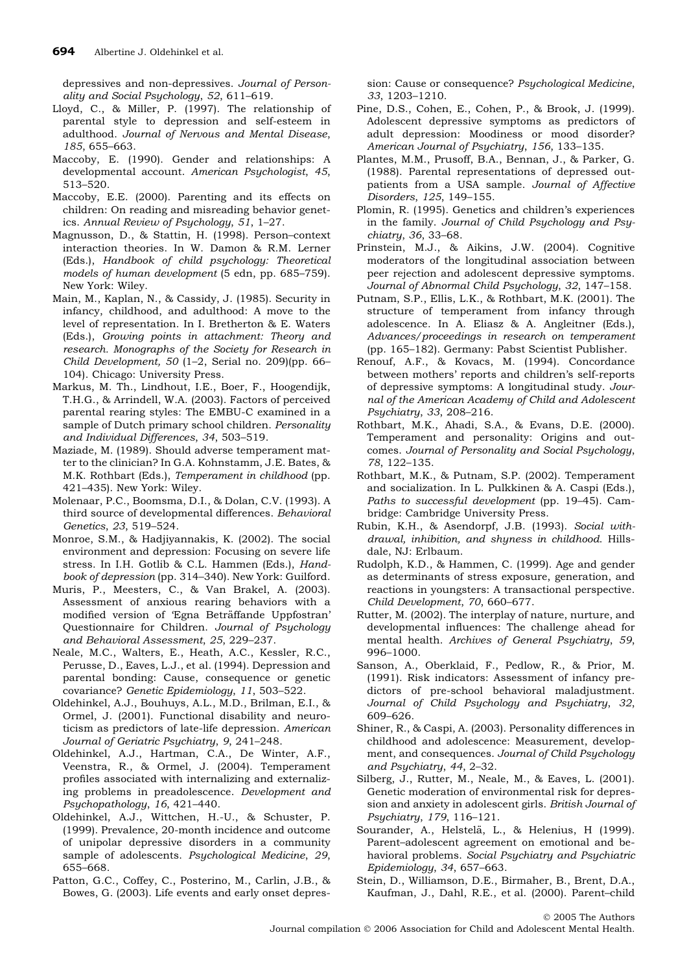depressives and non-depressives. Journal of Personality and Social Psychology, 52, 611–619.

- Lloyd, C., & Miller, P. (1997). The relationship of parental style to depression and self-esteem in adulthood. Journal of Nervous and Mental Disease, 185, 655–663.
- Maccoby, E. (1990). Gender and relationships: A developmental account. American Psychologist, 45, 513–520.
- Maccoby, E.E. (2000). Parenting and its effects on children: On reading and misreading behavior genetics. Annual Review of Psychology, 51, 1–27.
- Magnusson, D., & Stattin, H. (1998). Person–context interaction theories. In W. Damon & R.M. Lerner (Eds.), Handbook of child psychology: Theoretical models of human development (5 edn, pp. 685–759). New York: Wiley.
- Main, M., Kaplan, N., & Cassidy, J. (1985). Security in infancy, childhood, and adulthood: A move to the level of representation. In I. Bretherton & E. Waters (Eds.), Growing points in attachment: Theory and research. Monographs of the Society for Research in Child Development, 50 (1–2, Serial no. 209)(pp. 66– 104). Chicago: University Press.
- Markus, M. Th., Lindhout, I.E., Boer, F., Hoogendijk, T.H.G., & Arrindell, W.A. (2003). Factors of perceived parental rearing styles: The EMBU-C examined in a sample of Dutch primary school children. Personality and Individual Differences, 34, 503–519.
- Maziade, M. (1989). Should adverse temperament matter to the clinician? In G.A. Kohnstamm, J.E. Bates, & M.K. Rothbart (Eds.), Temperament in childhood (pp. 421–435). New York: Wiley.
- Molenaar, P.C., Boomsma, D.I., & Dolan, C.V. (1993). A third source of developmental differences. Behavioral Genetics, 23, 519–524.
- Monroe, S.M., & Hadjiyannakis, K. (2002). The social environment and depression: Focusing on severe life stress. In I.H. Gotlib & C.L. Hammen (Eds.), Handbook of depression (pp. 314–340). New York: Guilford.
- Muris, P., Meesters, C., & Van Brakel, A. (2003). Assessment of anxious rearing behaviors with a modified version of 'Egna Beträffande Uppfostran' Questionnaire for Children. Journal of Psychology and Behavioral Assessment, 25, 229–237.
- Neale, M.C., Walters, E., Heath, A.C., Kessler, R.C., Perusse, D., Eaves, L.J., et al. (1994). Depression and parental bonding: Cause, consequence or genetic covariance? Genetic Epidemiology, 11, 503–522.
- Oldehinkel, A.J., Bouhuys, A.L., M.D., Brilman, E.I., & Ormel, J. (2001). Functional disability and neuroticism as predictors of late-life depression. American Journal of Geriatric Psychiatry, 9, 241–248.
- Oldehinkel, A.J., Hartman, C.A., De Winter, A.F., Veenstra, R., & Ormel, J. (2004). Temperament profiles associated with internalizing and externalizing problems in preadolescence. Development and Psychopathology, 16, 421–440.
- Oldehinkel, A.J., Wittchen, H.-U., & Schuster, P. (1999). Prevalence, 20-month incidence and outcome of unipolar depressive disorders in a community sample of adolescents. Psychological Medicine, 29, 655–668.
- Patton, G.C., Coffey, C., Posterino, M., Carlin, J.B., & Bowes, G. (2003). Life events and early onset depres-

sion: Cause or consequence? Psychological Medicine, 33, 1203–1210.

- Pine, D.S., Cohen, E., Cohen, P., & Brook, J. (1999). Adolescent depressive symptoms as predictors of adult depression: Moodiness or mood disorder? American Journal of Psychiatry, 156, 133–135.
- Plantes, M.M., Prusoff, B.A., Bennan, J., & Parker, G. (1988). Parental representations of depressed outpatients from a USA sample. Journal of Affective Disorders, 125, 149–155.
- Plomin, R. (1995). Genetics and children's experiences in the family. Journal of Child Psychology and Psychiatry, 36, 33–68.
- Prinstein, M.J., & Aikins, J.W. (2004). Cognitive moderators of the longitudinal association between peer rejection and adolescent depressive symptoms. Journal of Abnormal Child Psychology, 32, 147–158.
- Putnam, S.P., Ellis, L.K., & Rothbart, M.K. (2001). The structure of temperament from infancy through adolescence. In A. Eliasz & A. Angleitner (Eds.), Advances/proceedings in research on temperament (pp. 165–182). Germany: Pabst Scientist Publisher.
- Renouf, A.F., & Kovacs, M. (1994). Concordance between mothers' reports and children's self-reports of depressive symptoms: A longitudinal study. Journal of the American Academy of Child and Adolescent Psychiatry, 33, 208–216.
- Rothbart, M.K., Ahadi, S.A., & Evans, D.E. (2000). Temperament and personality: Origins and outcomes. Journal of Personality and Social Psychology, 78, 122–135.
- Rothbart, M.K., & Putnam, S.P. (2002). Temperament and socialization. In L. Pulkkinen & A. Caspi (Eds.), Paths to successful development (pp. 19–45). Cambridge: Cambridge University Press.
- Rubin, K.H., & Asendorpf, J.B. (1993). Social withdrawal, inhibition, and shyness in childhood. Hillsdale, NJ: Erlbaum.
- Rudolph, K.D., & Hammen, C. (1999). Age and gender as determinants of stress exposure, generation, and reactions in youngsters: A transactional perspective. Child Development, 70, 660–677.
- Rutter, M. (2002). The interplay of nature, nurture, and developmental influences: The challenge ahead for mental health. Archives of General Psychiatry, 59, 996–1000.
- Sanson, A., Oberklaid, F., Pedlow, R., & Prior, M. (1991). Risk indicators: Assessment of infancy predictors of pre-school behavioral maladjustment. Journal of Child Psychology and Psychiatry, 32, 609–626.
- Shiner, R., & Caspi, A. (2003). Personality differences in childhood and adolescence: Measurement, development, and consequences. Journal of Child Psychology and Psychiatry, 44, 2–32.
- Silberg, J., Rutter, M., Neale, M., & Eaves, L. (2001). Genetic moderation of environmental risk for depression and anxiety in adolescent girls. British Journal of Psychiatry, 179, 116–121.
- Sourander, A., Helstelä, L., & Helenius, H (1999). Parent–adolescent agreement on emotional and behavioral problems. Social Psychiatry and Psychiatric Epidemiology, 34, 657–663.
- Stein, D., Williamson, D.E., Birmaher, B., Brent, D.A., Kaufman, J., Dahl, R.E., et al. (2000). Parent–child